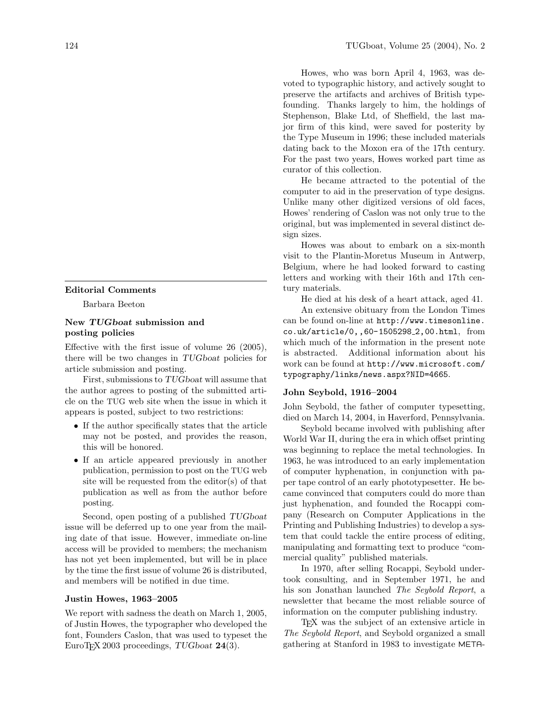## Editorial Comments

Barbara Beeton

## New TUGboat submission and posting policies

Effective with the first issue of volume 26 (2005), there will be two changes in TUG boat policies for article submission and posting.

First, submissions to TUGboat will assume that the author agrees to posting of the submitted article on the TUG web site when the issue in which it appears is posted, subject to two restrictions:

- If the author specifically states that the article may not be posted, and provides the reason, this will be honored.
- If an article appeared previously in another publication, permission to post on the TUG web site will be requested from the editor(s) of that publication as well as from the author before posting.

Second, open posting of a published TUGboat issue will be deferred up to one year from the mailing date of that issue. However, immediate on-line access will be provided to members; the mechanism has not yet been implemented, but will be in place by the time the first issue of volume 26 is distributed, and members will be notified in due time.

#### Justin Howes, 1963–2005

We report with sadness the death on March 1, 2005, of Justin Howes, the typographer who developed the font, Founders Caslon, that was used to typeset the EuroT<sub>F</sub>X 2003 proceedings, TUGboat 24(3).

Howes, who was born April 4, 1963, was devoted to typographic history, and actively sought to preserve the artifacts and archives of British typefounding. Thanks largely to him, the holdings of Stephenson, Blake Ltd, of Sheffield, the last major firm of this kind, were saved for posterity by the Type Museum in 1996; these included materials dating back to the Moxon era of the 17th century. For the past two years, Howes worked part time as curator of this collection.

He became attracted to the potential of the computer to aid in the preservation of type designs. Unlike many other digitized versions of old faces, Howes' rendering of Caslon was not only true to the original, but was implemented in several distinct design sizes.

Howes was about to embark on a six-month visit to the Plantin-Moretus Museum in Antwerp, Belgium, where he had looked forward to casting letters and working with their 16th and 17th century materials.

He died at his desk of a heart attack, aged 41.

An extensive obituary from the London Times can be found on-line at http://www.timesonline. co.uk/article/0,,60-1505298 2,00.html, from which much of the information in the present note is abstracted. Additional information about his work can be found at http://www.microsoft.com/ typography/links/news.aspx?NID=4665.

#### John Seybold, 1916–2004

John Seybold, the father of computer typesetting, died on March 14, 2004, in Haverford, Pennsylvania.

Seybold became involved with publishing after World War II, during the era in which offset printing was beginning to replace the metal technologies. In 1963, he was introduced to an early implementation of computer hyphenation, in conjunction with paper tape control of an early phototypesetter. He became convinced that computers could do more than just hyphenation, and founded the Rocappi company (Research on Computer Applications in the Printing and Publishing Industries) to develop a system that could tackle the entire process of editing, manipulating and formatting text to produce "commercial quality" published materials.

In 1970, after selling Rocappi, Seybold undertook consulting, and in September 1971, he and his son Jonathan launched The Seybold Report, a newsletter that became the most reliable source of information on the computer publishing industry.

TEX was the subject of an extensive article in The Seybold Report, and Seybold organized a small gathering at Stanford in 1983 to investigate META-